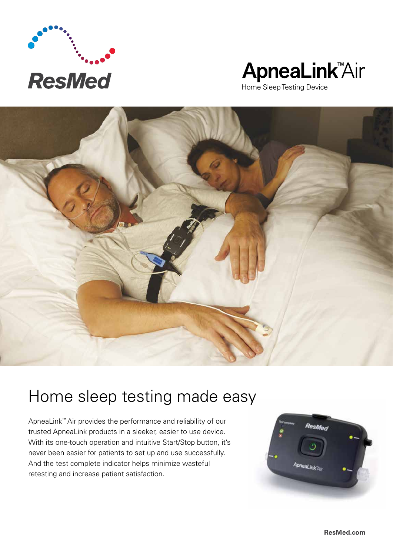

# ApneaLink<sup>"Air</sup>

Home Sleep Testing Device



## Home sleep testing made easy

ApneaLink™ Air provides the performance and reliability of our trusted ApneaLink products in a sleeker, easier to use device. With its one-touch operation and intuitive Start/Stop button, it's never been easier for patients to set up and use successfully. And the test complete indicator helps minimize wasteful retesting and increase patient satisfaction.

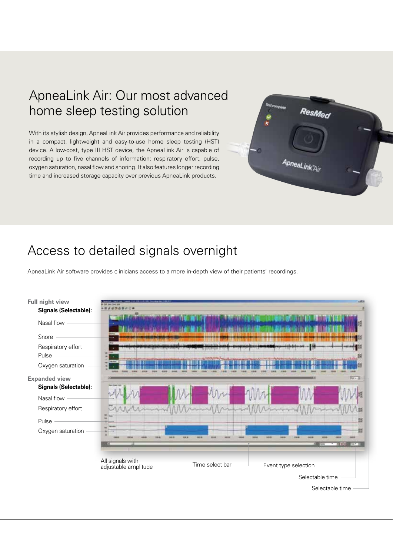#### ApneaLink Air: Our most advanced home sleep testing solution

With its stylish design, ApneaLink Air provides performance and reliability in a compact, lightweight and easy-to-use home sleep testing (HST) device. A low-cost, type III HST device, the ApneaLink Air is capable of recording up to five channels of information: respiratory effort, pulse, oxygen saturation, nasal flow and snoring. It also features longer recording time and increased storage capacity over previous ApneaLink products.



#### Access to detailed signals overnight

ApneaLink Air software provides clinicians access to a more in-depth view of their patients' recordings.

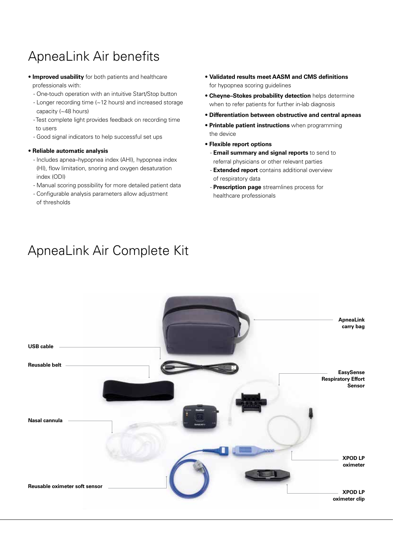### ApneaLink Air benefits

- **Improved usability** for both patients and healthcare professionals with:
	- One-touch operation with an intuitive Start/Stop button
	- Longer recording time (~12 hours) and increased storage capacity (~48 hours)
	- Test complete light provides feedback on recording time to users
	- Good signal indicators to help successful set ups

#### • **Reliable automatic analysis**

- Includes apnea–hypopnea index (AHI), hypopnea index (HI), flow limitation, snoring and oxygen desaturation index (ODI)
- Manual scoring possibility for more detailed patient data
- Configurable analysis parameters allow adjustment of thresholds
- **Validated results meet AASM and CMS definitions** for hypopnea scoring guidelines
- **Cheyne–Stokes probability detection** helps determine when to refer patients for further in-lab diagnosis
- **Differentiation between obstructive and central apneas**
- **Printable patient instructions** when programming the device
- **Flexible report options**
	- **Email summary and signal reports** to send to referral physicians or other relevant parties
	- **Extended report** contains additional overview of respiratory data
	- **Prescription page** streamlines process for healthcare professionals



### ApneaLink Air Complete Kit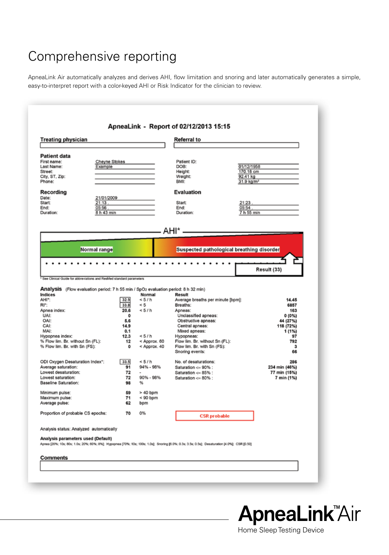### Comprehensive reporting

ApneaLink Air automatically analyzes and derives AHI, flow limitation and snoring and later automatically generates a simple, easy-to-interpret report with a color-keyed AHI or Risk Indicator for the clinician to review.

| <b>Treating physician</b>                                                                                                                                                                                                                                                                                                                                                                                                                                                                                                              |                          | Referral to                  |                                                                                  |                                                               |
|----------------------------------------------------------------------------------------------------------------------------------------------------------------------------------------------------------------------------------------------------------------------------------------------------------------------------------------------------------------------------------------------------------------------------------------------------------------------------------------------------------------------------------------|--------------------------|------------------------------|----------------------------------------------------------------------------------|---------------------------------------------------------------|
| <b>Patient data</b><br>First name:<br>Last Name:<br>Street:<br>City, ST, Zip:<br>Phone:                                                                                                                                                                                                                                                                                                                                                                                                                                                | Cheyne Stokes<br>Example |                              | Patient ID:<br>DOB:<br>Height:<br>Weight:<br>BMI:                                | 01/12/1958<br>170.18 cm<br>92.41 kg<br>31.9 kg/m <sup>2</sup> |
| Recording<br>Date:<br>21/01/2009<br>21:13.<br>Start:                                                                                                                                                                                                                                                                                                                                                                                                                                                                                   |                          |                              | <b>Evaluation</b><br>Start:                                                      | 21:23.                                                        |
| 05:56.<br>End:<br>8 h 43 min<br>Duration:                                                                                                                                                                                                                                                                                                                                                                                                                                                                                              |                          |                              | End:<br>Duration:                                                                | 05:54.<br>7 h 55 min                                          |
| Normal range                                                                                                                                                                                                                                                                                                                                                                                                                                                                                                                           |                          |                              | AHI* <sup>__________</sup><br>Suspected pathological breathing disorder          |                                                               |
| ٠                                                                                                                                                                                                                                                                                                                                                                                                                                                                                                                                      | ۰                        | .                            | $\ddot{\phantom{0}}$                                                             | Result (33)                                                   |
|                                                                                                                                                                                                                                                                                                                                                                                                                                                                                                                                        |                          |                              |                                                                                  |                                                               |
|                                                                                                                                                                                                                                                                                                                                                                                                                                                                                                                                        |                          |                              |                                                                                  |                                                               |
|                                                                                                                                                                                                                                                                                                                                                                                                                                                                                                                                        |                          | Normal                       | Result                                                                           |                                                               |
|                                                                                                                                                                                                                                                                                                                                                                                                                                                                                                                                        | 32.9<br>33.8             | < 5/h<br>< 5                 | Average breaths per minute [bpm]:<br>Breaths:                                    | 14.45<br>6857                                                 |
|                                                                                                                                                                                                                                                                                                                                                                                                                                                                                                                                        | 20.6                     | < 5/h                        | Apneas:                                                                          | 163                                                           |
| UAI:                                                                                                                                                                                                                                                                                                                                                                                                                                                                                                                                   | ٥                        |                              | Unclassified apneas:                                                             | 0(0%                                                          |
| OAI:                                                                                                                                                                                                                                                                                                                                                                                                                                                                                                                                   | 5.6                      |                              | Obstructive apneas:                                                              | 44 (27%)                                                      |
| CAI:                                                                                                                                                                                                                                                                                                                                                                                                                                                                                                                                   | 14.9                     |                              | Central apneas:                                                                  | 118 (72%)                                                     |
| MAI:                                                                                                                                                                                                                                                                                                                                                                                                                                                                                                                                   | 0.1                      |                              | Mixed apneas:                                                                    | 1 (1%)                                                        |
|                                                                                                                                                                                                                                                                                                                                                                                                                                                                                                                                        | 12.3<br>12               | < 5/h                        | Hypopneas:                                                                       | 97<br>792                                                     |
|                                                                                                                                                                                                                                                                                                                                                                                                                                                                                                                                        | 0                        | < Approx. 60<br>< Approx. 40 | Flow lim. Br. without Sn (FL):<br>Flow lim. Br. with Sn (FS):<br>Snoring events: | з<br>66                                                       |
|                                                                                                                                                                                                                                                                                                                                                                                                                                                                                                                                        | 33.5                     | < 5/h                        | No. of desaturations:                                                            | 286                                                           |
|                                                                                                                                                                                                                                                                                                                                                                                                                                                                                                                                        | 91                       | 94% - 98%                    | Saturation <= 90% :                                                              | 234 min (46%)                                                 |
|                                                                                                                                                                                                                                                                                                                                                                                                                                                                                                                                        | 72                       |                              | Saturation <= 85% :                                                              | 77 min (15%)                                                  |
|                                                                                                                                                                                                                                                                                                                                                                                                                                                                                                                                        | 72<br>98                 | 90% - 98%<br>%               | Saturation $\leq 80\%$ :                                                         | 7 min (1%)                                                    |
|                                                                                                                                                                                                                                                                                                                                                                                                                                                                                                                                        | 59                       | $>40$ bpm                    |                                                                                  |                                                               |
|                                                                                                                                                                                                                                                                                                                                                                                                                                                                                                                                        | 71                       | $< 90$ bpm                   |                                                                                  |                                                               |
|                                                                                                                                                                                                                                                                                                                                                                                                                                                                                                                                        | 62                       | bpm                          |                                                                                  |                                                               |
| * See Clinical Guide for abbreviations and ResMed standard parameters<br>Analysis (Flow evaluation period: 7 h 55 min / SpO <sub>2</sub> evaluation period: 8 h 32 min)<br>Indices<br>AHI*:<br>RI*:<br>Apnea index:<br>Hypopnea index:<br>% Flow lim. Br. without Sn (FL):<br>% Flow lim. Br. with Sn (FS):<br>ODI Oxygen Desaturation Index*:<br>Average saturation:<br>Lowest desaturation:<br>Lowest saturation:<br>Baseline Saturation:<br>Minimum pulse:<br>Maximum pulse:<br>Average pulse:<br>Proportion of probable CS epochs: | 70                       | 0%                           | <b>CSR</b> probable                                                              |                                                               |
|                                                                                                                                                                                                                                                                                                                                                                                                                                                                                                                                        |                          |                              |                                                                                  |                                                               |
| Analysis status: Analyzed automatically<br>Analysis parameters used (Default)<br>Apnea (20%; 10s; 80s; 1.0s; 20%; 60%; 8%); Hypopnea (70%; 10s; 100s; 1.0s); Snoring (6.0%; 0.3s; 3.5s; 0.5s); Desaturation [4.0%]; CSR (0.50]                                                                                                                                                                                                                                                                                                         |                          |                              |                                                                                  |                                                               |



Home Sleep Testing Device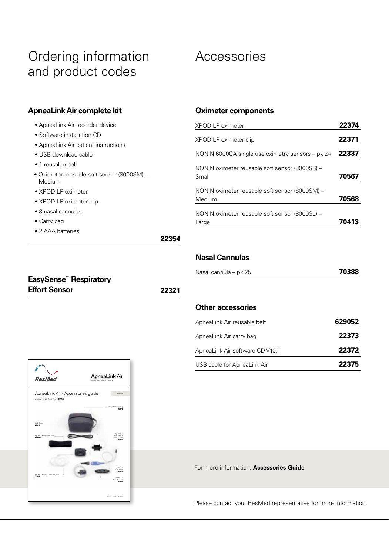### Ordering information and product codes

#### Accessories

#### **ApneaLink Air complete kit**

|  |  | · ApneaLink Air recorder device |
|--|--|---------------------------------|
|  |  |                                 |

- Software installation CD
- ApneaLink Air patient instructions
- USB download cable
- 1 reusable belt
- Oximeter reusable soft sensor (8000SM) Medium
- XPOD LP oximeter
- XPOD LP oximeter clip
- 3 nasal cannulas
- Carry bag
- 2 AAA batteries

#### **Oximeter components**

| XPOD LP oximeter                                         | 22374 |
|----------------------------------------------------------|-------|
| XPOD LP oximeter clip                                    | 22371 |
| NONIN 6000CA single use oximetry sensors – pk 24         | 22337 |
| NONIN oximeter reusable soft sensor (8000SS) -<br>Small  | 70567 |
| NONIN oximeter reusable soft sensor (8000SM) -<br>Medium | 70568 |
| NONIN oximeter reusable soft sensor (8000SL) -<br>Large  | 70413 |

**22354**

#### **Nasal Cannulas**

| Nasal cannula – pk 25 | 70388 |
|-----------------------|-------|
|-----------------------|-------|

| <b>EasySense<sup>™</sup> Respiratory</b> |       |
|------------------------------------------|-------|
| <b>Effort Sensor</b>                     | 22321 |

#### **Other accessories**

| ApneaLink Air reusable belt     | 629052 |
|---------------------------------|--------|
| ApneaLink Air carry bag         | 22373  |
| ApneaLink Air software CD V10.1 | 22372  |
| USB cable for ApneaLink Air     | 22375  |



For more information: **Accessories Guide**

Please contact your ResMed representative for more information.